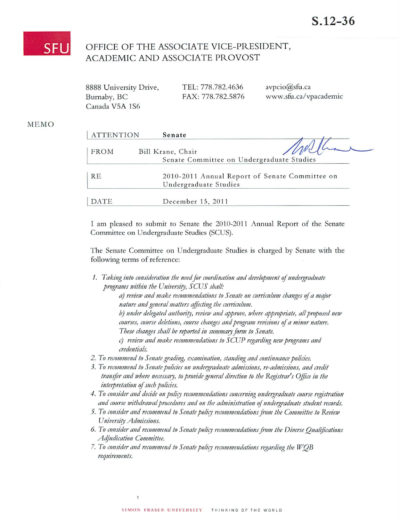

## OFFICE OF THE ASSOCIATE VICE-PRESIDENT, ACADEMIC AND ASSOCIATE PROVOST

| 8888 University Drive, | TEL: 778.782.4636 | avpcio@sfu.ca         |
|------------------------|-------------------|-----------------------|
| Burnaby, BC            | FAX: 778.782.5876 | www.sfu.ca/vpacademic |
| Canada V5A 1S6         |                   |                       |

## **MEMO**

| <b>ATTENTION</b> | Senate                                                         |                                                |
|------------------|----------------------------------------------------------------|------------------------------------------------|
| <b>FROM</b>      | Bill Krane, Chair<br>Senate Committee on Undergraduate Studies |                                                |
| RE               | Undergraduate Studies                                          | 2010-2011 Annual Report of Senate Committee on |
| DATE             | December 15, 2011                                              |                                                |

I am pleased to submit to Senate the 2010-2011 Annual Report of the Senate Committee on Undergraduate Studies (SCUS).

The Senate Committee on Undergraduate Studies is charged by Senate with the following terms of reference:

1. Taking into consideration the need for coordination and development of undergraduate programs within the University, SCUS shall:

> a) review and make recommendations to Senate on curriculum changes of a major nature and general matters affecting the curriculum.

b) under delegated authority, review and approve, where appropriate, all proposed new courses, course deletions, course changes and program revisions of a minor nature. These changes shall be reported in summary form to Senate.

- c) review and make recommendations to SCUP regarding new programs and credentials.
- 2. To recommend to Senate grading, examination, standing and continuance policies.
- 3. To recommend to Senate policies on undergraduate admissions, re-admissions, and credit transfer and where necessary, to provide general direction to the Registrar's Office in the interpretation of such policies.
- 4. To consider and decide on policy recommendations concerning undergraduate course registration and course withdrawal procedures and on the administration of undergraduate student records.
- 5. To consider and recommend to Senate policy recommendations from the Committee to Review University Admissions.
- 6. To consider and recommend to Senate policy recommendations from the Diverse Qualifications Adjudication Committee.
- 7. To consider and recommend to Senate policy recommendations regarding the WOB requirements.

 $\overline{1}$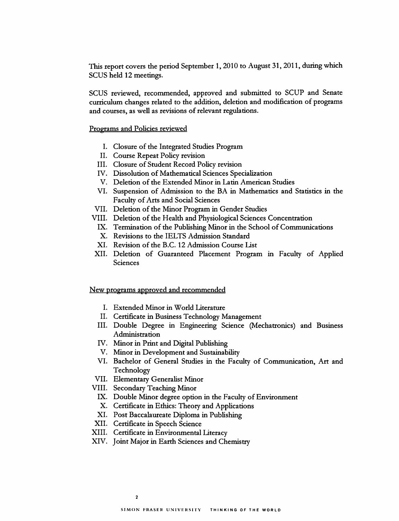This report covers the period September 1, 2010 to August 31,2011, during which SCUS held 12 meetings.

SCUS reviewed, recommended, approved and submitted to SCUP and Senate curriculum changes related to the addition, deletion and modification of programs and courses, as well as revisions of relevant regulations.

Programs and Policies reviewed

- I. Closure of the Integrated Studies Program
- II. Course Repeat Policy revision
- III. Closure of Student Record Policy revision
- IV. Dissolution of Mathematical Sciences Specialization
- V. Deletion of the Extended Minor in Latin American Studies
- VI. Suspension of Admission to the BA in Mathematics and Statistics in the Faculty of Arts and Social Sciences
- VII. Deletion of the Minor Program in Gender Studies
- VIII. Deletion of the Health and Physiological Sciences Concentration
	- IX. Termination of the Publishing Minor in the School of Communications
	- X. Revisions to the IELTS Admission Standard
	- XI. Revision of the B.C. 12 Admission Course List
- XII. Deletion of Guaranteed Placement Program in Faculty of Applied Sciences

New programs approved and recommended

- I. Extended Minor in World Literature
- II. Certificate in Business Technology Management
- III. Double Degree in Engineering Science (Mechatronics) and Business Administration
- IV. Minor in Print and Digital Publishing
- V. Minor in Development and Sustainability
- VI. Bachelor of General Studies in the Faculty of Communication, Art and Technology
- VII. Elementary Generalist Minor
- VIII. Secondary Teaching Minor
	- IX. Double Minor degree option in the Faculty of Environment
	- X. Certificate in Ethics: Theory and Applications
	- XI. Post Baccalaureate Diploma in Publishing
- XII. Certificate in Speech Science
- XIII. Certificate in Environmental Literacy
- XIV. Joint Major in Earth Sciences and Chemistry